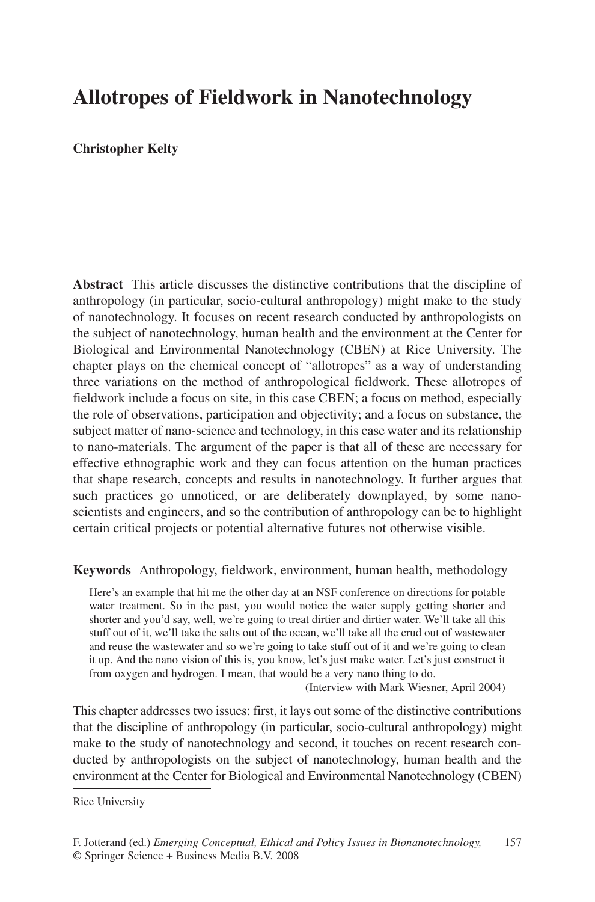# **Allotropes of Fieldwork in Nanotechnology**

### **Christopher Kelty**

**Abstract** This article discusses the distinctive contributions that the discipline of anthropology (in particular, socio-cultural anthropology) might make to the study of nanotechnology. It focuses on recent research conducted by anthropologists on the subject of nanotechnology, human health and the environment at the Center for Biological and Environmental Nanotechnology (CBEN) at Rice University. The chapter plays on the chemical concept of "allotropes" as a way of understanding three variations on the method of anthropological fieldwork. These allotropes of fieldwork include a focus on site, in this case CBEN; a focus on method, especially the role of observations, participation and objectivity; and a focus on substance, the subject matter of nano-science and technology, in this case water and its relationship to nano-materials. The argument of the paper is that all of these are necessary for effective ethnographic work and they can focus attention on the human practices that shape research, concepts and results in nanotechnology. It further argues that such practices go unnoticed, or are deliberately downplayed, by some nanoscientists and engineers, and so the contribution of anthropology can be to highlight certain critical projects or potential alternative futures not otherwise visible.

**Keywords** Anthropology, fieldwork, environment, human health, methodology

Here's an example that hit me the other day at an NSF conference on directions for potable water treatment. So in the past, you would notice the water supply getting shorter and shorter and you'd say, well, we're going to treat dirtier and dirtier water. We'll take all this stuff out of it, we'll take the salts out of the ocean, we'll take all the crud out of wastewater and reuse the wastewater and so we're going to take stuff out of it and we're going to clean it up. And the nano vision of this is, you know, let's just make water. Let's just construct it from oxygen and hydrogen. I mean, that would be a very nano thing to do.

(Interview with Mark Wiesner, April 2004)

This chapter addresses two issues: first, it lays out some of the distinctive contributions that the discipline of anthropology (in particular, socio-cultural anthropology) might make to the study of nanotechnology and second, it touches on recent research conducted by anthropologists on the subject of nanotechnology, human health and the environment at the Center for Biological and Environmental Nanotechnology (CBEN)

Rice University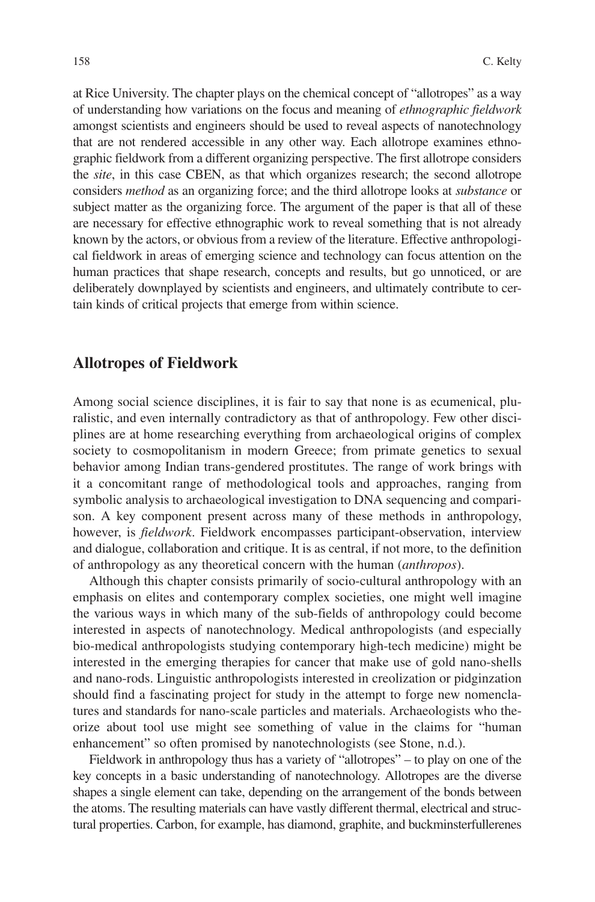at Rice University. The chapter plays on the chemical concept of "allotropes" as a way of understanding how variations on the focus and meaning of *ethnographic fieldwork* amongst scientists and engineers should be used to reveal aspects of nanotechnology that are not rendered accessible in any other way. Each allotrope examines ethnographic fieldwork from a different organizing perspective. The first allotrope considers the *site*, in this case CBEN, as that which organizes research; the second allotrope considers *method* as an organizing force; and the third allotrope looks at *substance* or subject matter as the organizing force. The argument of the paper is that all of these are necessary for effective ethnographic work to reveal something that is not already known by the actors, or obvious from a review of the literature. Effective anthropological fieldwork in areas of emerging science and technology can focus attention on the human practices that shape research, concepts and results, but go unnoticed, or are deliberately downplayed by scientists and engineers, and ultimately contribute to certain kinds of critical projects that emerge from within science.

# **Allotropes of Fieldwork**

Among social science disciplines, it is fair to say that none is as ecumenical, pluralistic, and even internally contradictory as that of anthropology. Few other disciplines are at home researching everything from archaeological origins of complex society to cosmopolitanism in modern Greece; from primate genetics to sexual behavior among Indian trans-gendered prostitutes. The range of work brings with it a concomitant range of methodological tools and approaches, ranging from symbolic analysis to archaeological investigation to DNA sequencing and comparison. A key component present across many of these methods in anthropology, however, is *fieldwork*. Fieldwork encompasses participant-observation, interview and dialogue, collaboration and critique. It is as central, if not more, to the definition of anthropology as any theoretical concern with the human (*anthropos*).

Although this chapter consists primarily of socio-cultural anthropology with an emphasis on elites and contemporary complex societies, one might well imagine the various ways in which many of the sub-fields of anthropology could become interested in aspects of nanotechnology. Medical anthropologists (and especially bio-medical anthropologists studying contemporary high-tech medicine) might be interested in the emerging therapies for cancer that make use of gold nano-shells and nano-rods. Linguistic anthropologists interested in creolization or pidginzation should find a fascinating project for study in the attempt to forge new nomenclatures and standards for nano-scale particles and materials. Archaeologists who theorize about tool use might see something of value in the claims for "human enhancement" so often promised by nanotechnologists (see Stone, n.d.).

Fieldwork in anthropology thus has a variety of "allotropes" – to play on one of the key concepts in a basic understanding of nanotechnology. Allotropes are the diverse shapes a single element can take, depending on the arrangement of the bonds between the atoms. The resulting materials can have vastly different thermal, electrical and structural properties. Carbon, for example, has diamond, graphite, and buckminsterfullerenes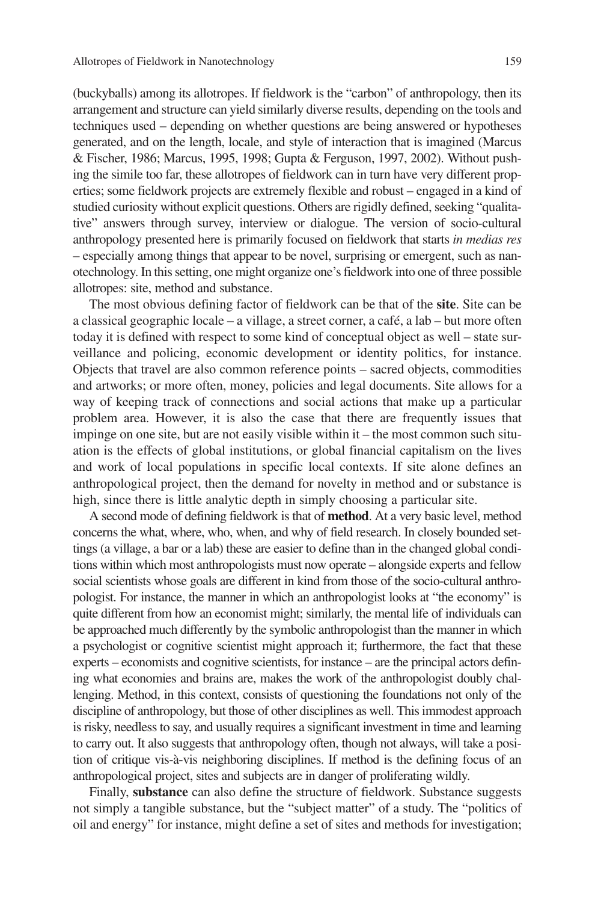(buckyballs) among its allotropes. If fieldwork is the "carbon" of anthropology, then its arrangement and structure can yield similarly diverse results, depending on the tools and techniques used – depending on whether questions are being answered or hypotheses generated, and on the length, locale, and style of interaction that is imagined (Marcus & Fischer, 1986; Marcus, 1995, 1998; Gupta & Ferguson, 1997, 2002). Without pushing the simile too far, these allotropes of fieldwork can in turn have very different properties; some fieldwork projects are extremely flexible and robust – engaged in a kind of studied curiosity without explicit questions. Others are rigidly defined, seeking "qualitative" answers through survey, interview or dialogue. The version of socio-cultural anthropology presented here is primarily focused on fieldwork that starts *in medias res* – especially among things that appear to be novel, surprising or emergent, such as nanotechnology. In this setting, one might organize one's fieldwork into one of three possible allotropes: site, method and substance.

The most obvious defining factor of fieldwork can be that of the **site**. Site can be a classical geographic locale – a village, a street corner, a café, a lab – but more often today it is defined with respect to some kind of conceptual object as well – state surveillance and policing, economic development or identity politics, for instance. Objects that travel are also common reference points – sacred objects, commodities and artworks; or more often, money, policies and legal documents. Site allows for a way of keeping track of connections and social actions that make up a particular problem area. However, it is also the case that there are frequently issues that impinge on one site, but are not easily visible within it – the most common such situation is the effects of global institutions, or global financial capitalism on the lives and work of local populations in specific local contexts. If site alone defines an anthropological project, then the demand for novelty in method and or substance is high, since there is little analytic depth in simply choosing a particular site.

A second mode of defining fieldwork is that of **method**. At a very basic level, method concerns the what, where, who, when, and why of field research. In closely bounded settings (a village, a bar or a lab) these are easier to define than in the changed global conditions within which most anthropologists must now operate – alongside experts and fellow social scientists whose goals are different in kind from those of the socio-cultural anthropologist. For instance, the manner in which an anthropologist looks at "the economy" is quite different from how an economist might; similarly, the mental life of individuals can be approached much differently by the symbolic anthropologist than the manner in which a psychologist or cognitive scientist might approach it; furthermore, the fact that these experts – economists and cognitive scientists, for instance – are the principal actors defining what economies and brains are, makes the work of the anthropologist doubly challenging. Method, in this context, consists of questioning the foundations not only of the discipline of anthropology, but those of other disciplines as well. This immodest approach is risky, needless to say, and usually requires a significant investment in time and learning to carry out. It also suggests that anthropology often, though not always, will take a position of critique vis-à-vis neighboring disciplines. If method is the defining focus of an anthropological project, sites and subjects are in danger of proliferating wildly.

Finally, **substance** can also define the structure of fieldwork. Substance suggests not simply a tangible substance, but the "subject matter" of a study. The "politics of oil and energy" for instance, might define a set of sites and methods for investigation;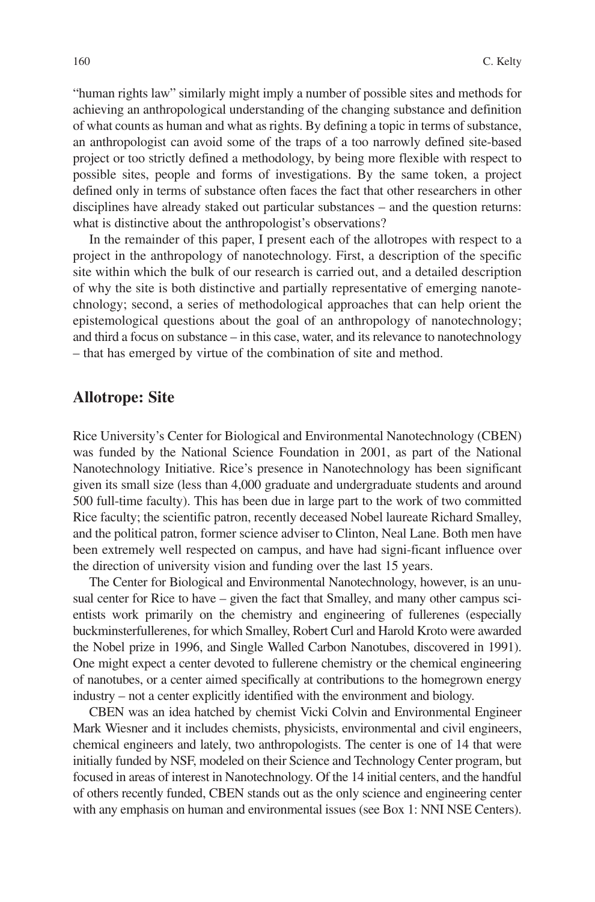"human rights law" similarly might imply a number of possible sites and methods for achieving an anthropological understanding of the changing substance and definition of what counts as human and what as rights. By defining a topic in terms of substance, an anthropologist can avoid some of the traps of a too narrowly defined site-based project or too strictly defined a methodology, by being more flexible with respect to possible sites, people and forms of investigations. By the same token, a project defined only in terms of substance often faces the fact that other researchers in other disciplines have already staked out particular substances – and the question returns: what is distinctive about the anthropologist's observations?

In the remainder of this paper, I present each of the allotropes with respect to a project in the anthropology of nanotechnology. First, a description of the specific site within which the bulk of our research is carried out, and a detailed description of why the site is both distinctive and partially representative of emerging nanotechnology; second, a series of methodological approaches that can help orient the epistemological questions about the goal of an anthropology of nanotechnology; and third a focus on substance – in this case, water, and its relevance to nanotechnology – that has emerged by virtue of the combination of site and method.

## **Allotrope: Site**

Rice University's Center for Biological and Environmental Nanotechnology (CBEN) was funded by the National Science Foundation in 2001, as part of the National Nanotechnology Initiative. Rice's presence in Nanotechnology has been significant given its small size (less than 4,000 graduate and undergraduate students and around 500 full-time faculty). This has been due in large part to the work of two committed Rice faculty; the scientific patron, recently deceased Nobel laureate Richard Smalley, and the political patron, former science adviser to Clinton, Neal Lane. Both men have been extremely well respected on campus, and have had signi-ficant influence over the direction of university vision and funding over the last 15 years.

The Center for Biological and Environmental Nanotechnology, however, is an unusual center for Rice to have – given the fact that Smalley, and many other campus scientists work primarily on the chemistry and engineering of fullerenes (especially buckminsterfullerenes, for which Smalley, Robert Curl and Harold Kroto were awarded the Nobel prize in 1996, and Single Walled Carbon Nanotubes, discovered in 1991). One might expect a center devoted to fullerene chemistry or the chemical engineering of nanotubes, or a center aimed specifically at contributions to the homegrown energy industry – not a center explicitly identified with the environment and biology.

CBEN was an idea hatched by chemist Vicki Colvin and Environmental Engineer Mark Wiesner and it includes chemists, physicists, environmental and civil engineers, chemical engineers and lately, two anthropologists. The center is one of 14 that were initially funded by NSF, modeled on their Science and Technology Center program, but focused in areas of interest in Nanotechnology. Of the 14 initial centers, and the handful of others recently funded, CBEN stands out as the only science and engineering center with any emphasis on human and environmental issues (see Box 1: NNI NSE Centers).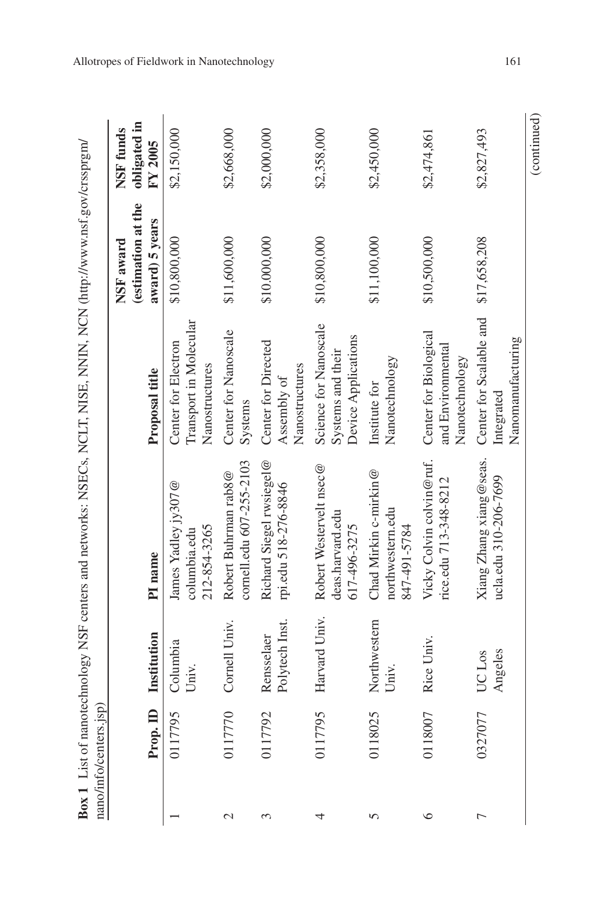|               | $\begin{array}{c}\n\end{array}$<br>nano/info/centers.j<br>Prop. I | Institution                  | PI name                                                     | Proposal title                                                    | (estimation at the<br>award) 5 years<br>NSF award | obligated in<br>NSF funds<br>FY 2005 |
|---------------|-------------------------------------------------------------------|------------------------------|-------------------------------------------------------------|-------------------------------------------------------------------|---------------------------------------------------|--------------------------------------|
|               | 5<br>011779                                                       | Columbia<br>Univ.            | James Yadley jy307 $@$<br>212-854-3265<br>columbia.edu      | Transport in Molecular<br>Center for Electron<br>Nanostructures   | \$10,800,000                                      | \$2,150,000                          |
| $\mathcal{C}$ | 0117770                                                           | Cornell Univ.                | cornell.edu 607-255-2103<br>Robert Buhrman rab8@            | Center for Nanoscale<br>Systems                                   | \$11,600,000                                      | \$2,668,000                          |
| 3             | 0117792                                                           | Polytech Inst.<br>Rensselaer | Richard Siegel rwsiegel@<br>rpi.edu 518-276-8846            | Center for Directed<br>Nanostructures<br>Assembly of              | \$10.000,000                                      | \$2,000,000                          |
| 4             | 0117795                                                           | Harvard Univ.                | Robert Westervelt nsec@<br>deas.harvard.edu<br>617-496-3275 | Science for Nanoscale<br>Device Applications<br>Systems and their | \$10,800,000                                      | \$2,358,000                          |
| 5             | 0118025                                                           | Northwestern<br>Univ.        | Chad Mirkin c-mirkin@<br>northwestern.edu<br>847-491-5784   | Nanotechnology<br>Institute for                                   | \$11,100,000                                      | \$2,450,000                          |
| $\circ$       | 0118007                                                           | Rice Univ.                   | Vicky Colvin colvin@ruf.<br>rice.edu 713-348-8212           | Center for Biological<br>and Environmental<br>Nanotechnology      | \$10,500,000                                      | \$2,474,861                          |
| 7             | 0327077                                                           | Angeles<br>UC <sub>Los</sub> | Xiang Zhang xiang @seas.<br>ucla.edu 310-206-7699           | Center for Scalable and<br>Nanomanufacturing<br>Integrated        | \$17,658,208                                      | \$2,827,493                          |
|               |                                                                   |                              |                                                             |                                                                   |                                                   | (continued)                          |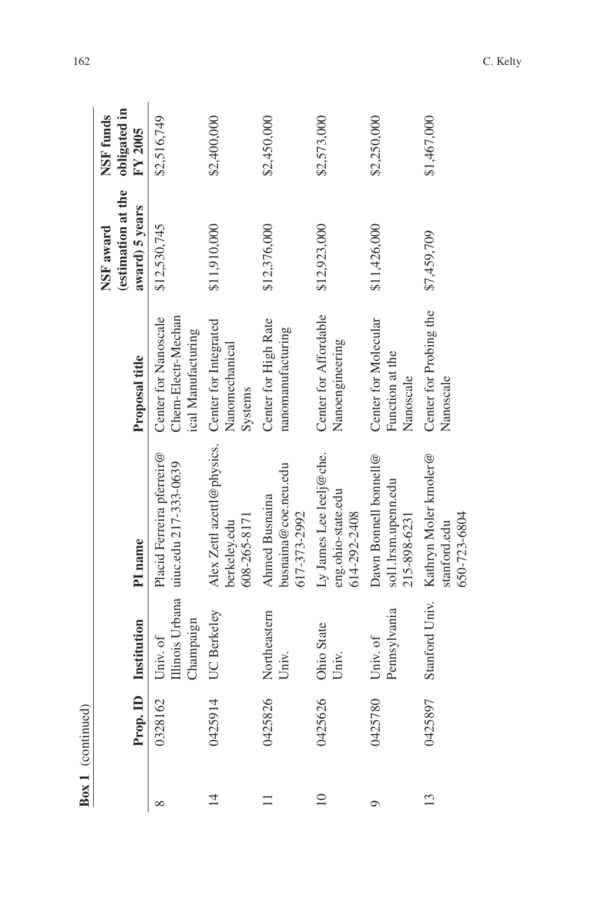|                | <b>Box 1</b> (continued) |                          |                                                                    |                                                                  |                                 |                           |
|----------------|--------------------------|--------------------------|--------------------------------------------------------------------|------------------------------------------------------------------|---------------------------------|---------------------------|
|                |                          |                          |                                                                    |                                                                  | (estimation at the<br>NSF award | obligated in<br>NSF funds |
|                | $\triangle$<br>Prop.     | Institution              | PI name                                                            | Proposal title                                                   | award) 5 years                  | FY 2005                   |
| $\infty$       | 0328162                  | Champaign<br>Univ. of    | Placid Ferreira pferreir@<br>Illinois Urbana uiuc.edu 217-333-0639 | Chem-Electr-Mechan<br>Center for Nanoscale<br>ical Manufacturing | \$12,530,745                    | \$2,516,749               |
| $\overline{4}$ | 4<br>042591              | UC Berkeley              | Alex Zettl azettl@physics.<br>608-265-8171<br>berkeley.edu         | Center for Integrated<br>Nanomechanical<br>Systems               | \$11,910,000                    | \$2,400,000               |
|                | 0425826                  | Northeastern<br>Univ.    | busnaina@coe.neu.edu<br><b>Ahmed Busnaina</b><br>617-373-2992      | Center for High Rate<br>nanomanufacturing                        | \$12,376,000                    | \$2,450,000               |
|                | 0425626                  | Ohio State<br>Univ.      | Ly James Lee leelj@che.<br>eng.ohio-state.edu<br>614-292-2408      | Center for Affordable<br>Nanoengineering                         | \$12,923,000                    | \$2,573,000               |
| $\circ$        | 0425780                  | Pennsylvania<br>Univ. of | Dawn Bonnell bonnell@<br>sol1.lrsm.upenn.edu<br>215-898-6231       | Center for Molecular<br>Function at the<br>Nanoscale             | \$11,426,000                    | \$2,250,000               |
| $\mathbf{13}$  | 0425897                  | Stanford Univ.           | Kathryn Moler kmoler@<br>650-723-6804<br>stanford.edu              | Center for Probing the<br>Nanoscale                              | \$7,459,709                     | \$1,467,000               |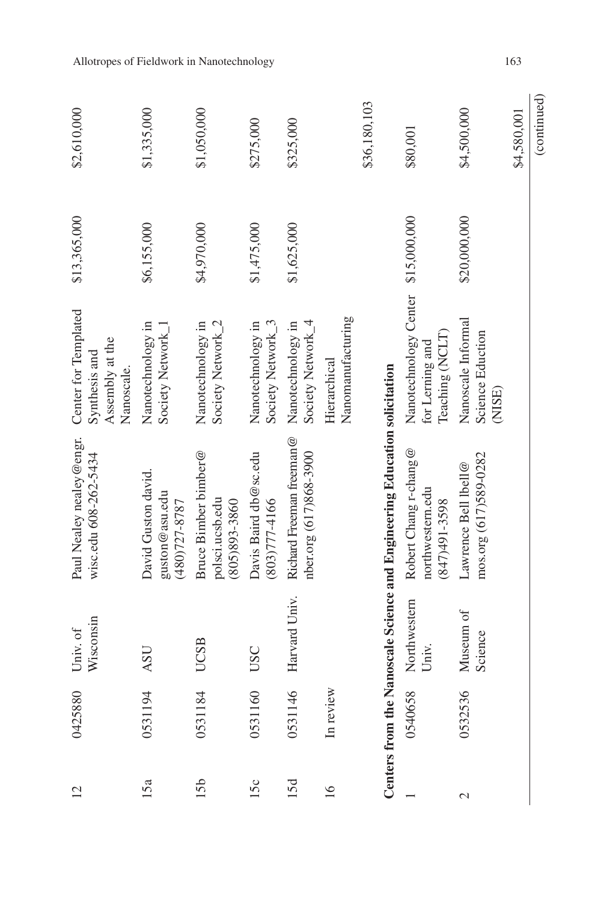| \$2,610,000                                                            | \$1,335,000                                                | \$1,050,000                                                  | \$275,000                                | \$325,000                                          |                                   | \$36,180,103 |                                                                           | \$80,001                                                   | \$4,500,000                                             | \$4,580,001 | (continued) |
|------------------------------------------------------------------------|------------------------------------------------------------|--------------------------------------------------------------|------------------------------------------|----------------------------------------------------|-----------------------------------|--------------|---------------------------------------------------------------------------|------------------------------------------------------------|---------------------------------------------------------|-------------|-------------|
| \$13,365,000                                                           | \$6,155,000                                                | \$4,970,000                                                  | \$1,475,000                              | \$1,625,000                                        |                                   |              |                                                                           | \$15,000,000                                               | \$20,000,000                                            |             |             |
| Center for Templated<br>Assembly at the<br>Synthesis and<br>Nanoscale. | Nanotechnology in<br>Society Network_1                     | Society Network_2<br>Nanotechnology in                       | Society Network_3<br>Nanotechnology in   | Society Network_4<br>Nanotechnology in             | Nanomanufacturing<br>Hierarchical |              |                                                                           | Nanotechnology Center<br>Teaching (NCLT)<br>for Leming and | Nanoscale Informal<br><b>Science Eduction</b><br>(NISE) |             |             |
| Paul Nealey nealey@engr.<br>wisc.edu 608-262-5434                      | David Guston david.<br>guston@asu.edu<br>$(480)727 - 8787$ | Bruce Bimber bimber@<br>polsci.ucsb.edu<br>$(805)893 - 3860$ | Davis Baird db@sc.edu<br>$(803)777-4166$ | Richard Freeman freeman@<br>nber.org (617)868-3900 |                                   |              | Centers from the Nanoscale Science and Engineering Education solicitation | Robert Chang r-chang@<br>northwestern.edu<br>847)491-3598  | mos.org (617)589-0282<br>Lawrence Bell lbell@           |             |             |
| Wisconsin<br>Univ. of                                                  | ASU                                                        | <b>UCSB</b>                                                  | <b>USC</b>                               | Harvard Univ.                                      |                                   |              |                                                                           | Northwestern<br>Univ.                                      | Museum of<br>Science                                    |             |             |
| 0425880                                                                | 0531194                                                    | 0531184                                                      | 0531160                                  | 0531146                                            | In review                         |              |                                                                           | 0540658                                                    | 0532536                                                 |             |             |
| 12                                                                     | 15a                                                        | 15b                                                          | 15c                                      | 15d                                                | $\overline{16}$                   |              |                                                                           |                                                            | $\mathcal{L}$                                           |             |             |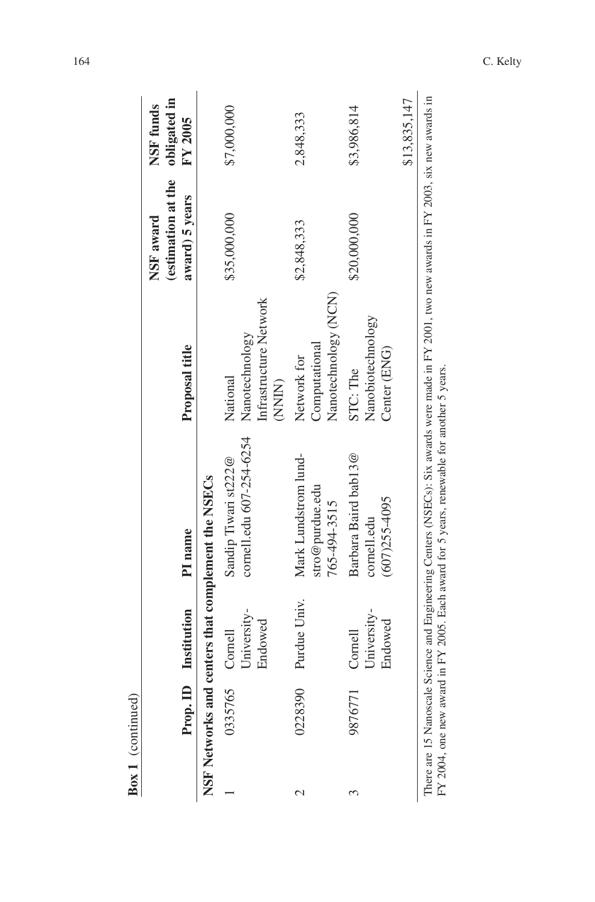| <b>Box 1</b> (continued) |         |                                           |                                                                                                                                                                                                                                            |                                                                     |                                |                           |
|--------------------------|---------|-------------------------------------------|--------------------------------------------------------------------------------------------------------------------------------------------------------------------------------------------------------------------------------------------|---------------------------------------------------------------------|--------------------------------|---------------------------|
|                          |         |                                           |                                                                                                                                                                                                                                            |                                                                     | estimation at the<br>NSF award | obligated in<br>NSF funds |
|                          | Prop.   | <b>D</b> Institution                      | PI name                                                                                                                                                                                                                                    | Proposal title                                                      | award) 5 years                 | <b>FY 2005</b>            |
|                          |         |                                           | NSF Networks and centers that complement the NSECs                                                                                                                                                                                         |                                                                     |                                |                           |
|                          | 0335765 | University-<br>Endowed<br>Cornell         | cornell.edu 607-254-6254<br>Sandip Tiwari st222@                                                                                                                                                                                           | Infrastructure Network<br>Nanotechnology<br>National<br><b>ANNE</b> | \$35,000,000                   | \$7,000,000               |
| $\mathcal{C}$            | 0228390 | Purdue Univ.                              | Mark Lundstrom lund-<br>stro@purdue.edu<br>765-494-3515                                                                                                                                                                                    | Nanotechnology (NCN)<br>Computational<br>Network for                | \$2,848,333                    | 2,848,333                 |
| 3                        | 987677  | University-<br>Endowed<br>$_{\rm Comell}$ | Barbara Baird bab13@<br>$(607)255 - 4095$<br>cornell.edu                                                                                                                                                                                   | Nanobiotechnology<br>Center (ENG)<br>STC: The                       | \$20,000,000                   | \$3,986,814               |
|                          |         |                                           |                                                                                                                                                                                                                                            |                                                                     |                                | \$13,835,147              |
|                          |         |                                           | There are 15 Nanoscale Science and Engineering Centers (NSECs): Six awards were made in FY 2001, two new awards in FY 2003, six new awards in<br>FY 2004, one new award in FY 2005. Each award for 5 years, renewable for another 5 years. |                                                                     |                                |                           |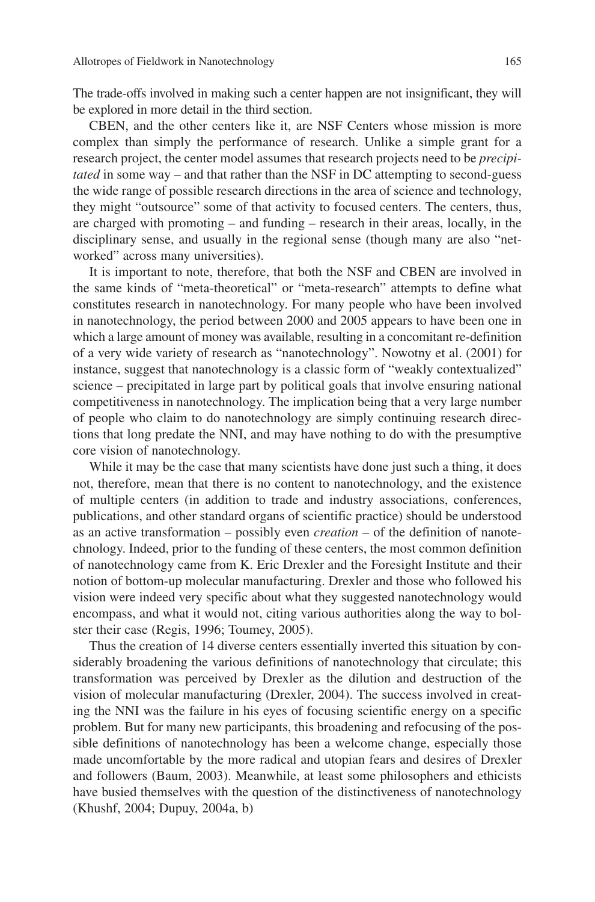The trade-offs involved in making such a center happen are not insignificant, they will be explored in more detail in the third section.

CBEN, and the other centers like it, are NSF Centers whose mission is more complex than simply the performance of research. Unlike a simple grant for a research project, the center model assumes that research projects need to be *precipitated* in some way – and that rather than the NSF in DC attempting to second-guess the wide range of possible research directions in the area of science and technology, they might "outsource" some of that activity to focused centers. The centers, thus, are charged with promoting – and funding – research in their areas, locally, in the disciplinary sense, and usually in the regional sense (though many are also "networked" across many universities).

It is important to note, therefore, that both the NSF and CBEN are involved in the same kinds of "meta-theoretical" or "meta-research" attempts to define what constitutes research in nanotechnology. For many people who have been involved in nanotechnology, the period between 2000 and 2005 appears to have been one in which a large amount of money was available, resulting in a concomitant re-definition of a very wide variety of research as "nanotechnology". Nowotny et al. (2001) for instance, suggest that nanotechnology is a classic form of "weakly contextualized" science – precipitated in large part by political goals that involve ensuring national competitiveness in nanotechnology. The implication being that a very large number of people who claim to do nanotechnology are simply continuing research directions that long predate the NNI, and may have nothing to do with the presumptive core vision of nanotechnology.

While it may be the case that many scientists have done just such a thing, it does not, therefore, mean that there is no content to nanotechnology, and the existence of multiple centers (in addition to trade and industry associations, conferences, publications, and other standard organs of scientific practice) should be understood as an active transformation – possibly even *creation* – of the definition of nanotechnology. Indeed, prior to the funding of these centers, the most common definition of nanotechnology came from K. Eric Drexler and the Foresight Institute and their notion of bottom-up molecular manufacturing. Drexler and those who followed his vision were indeed very specific about what they suggested nanotechnology would encompass, and what it would not, citing various authorities along the way to bolster their case (Regis, 1996; Toumey, 2005).

Thus the creation of 14 diverse centers essentially inverted this situation by considerably broadening the various definitions of nanotechnology that circulate; this transformation was perceived by Drexler as the dilution and destruction of the vision of molecular manufacturing (Drexler, 2004). The success involved in creating the NNI was the failure in his eyes of focusing scientific energy on a specific problem. But for many new participants, this broadening and refocusing of the possible definitions of nanotechnology has been a welcome change, especially those made uncomfortable by the more radical and utopian fears and desires of Drexler and followers (Baum, 2003). Meanwhile, at least some philosophers and ethicists have busied themselves with the question of the distinctiveness of nanotechnology (Khushf, 2004; Dupuy, 2004a, b)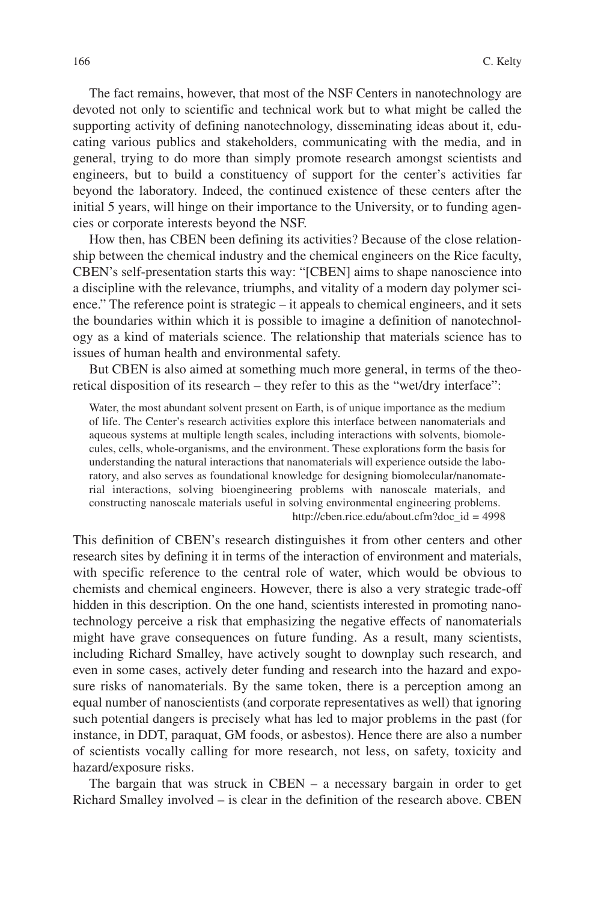The fact remains, however, that most of the NSF Centers in nanotechnology are devoted not only to scientific and technical work but to what might be called the supporting activity of defining nanotechnology, disseminating ideas about it, educating various publics and stakeholders, communicating with the media, and in general, trying to do more than simply promote research amongst scientists and engineers, but to build a constituency of support for the center's activities far beyond the laboratory. Indeed, the continued existence of these centers after the initial 5 years, will hinge on their importance to the University, or to funding agencies or corporate interests beyond the NSF.

How then, has CBEN been defining its activities? Because of the close relationship between the chemical industry and the chemical engineers on the Rice faculty, CBEN's self-presentation starts this way: "[CBEN] aims to shape nanoscience into a discipline with the relevance, triumphs, and vitality of a modern day polymer science." The reference point is strategic – it appeals to chemical engineers, and it sets the boundaries within which it is possible to imagine a definition of nanotechnology as a kind of materials science. The relationship that materials science has to issues of human health and environmental safety.

But CBEN is also aimed at something much more general, in terms of the theoretical disposition of its research – they refer to this as the "wet/dry interface":

Water, the most abundant solvent present on Earth, is of unique importance as the medium of life. The Center's research activities explore this interface between nanomaterials and aqueous systems at multiple length scales, including interactions with solvents, biomolecules, cells, whole-organisms, and the environment. These explorations form the basis for understanding the natural interactions that nanomaterials will experience outside the laboratory, and also serves as foundational knowledge for designing biomolecular/nanomaterial interactions, solving bioengineering problems with nanoscale materials, and constructing nanoscale materials useful in solving environmental engineering problems. http://cben.rice.edu/about.cfm?doc\_id = 4998

This definition of CBEN's research distinguishes it from other centers and other research sites by defining it in terms of the interaction of environment and materials, with specific reference to the central role of water, which would be obvious to chemists and chemical engineers. However, there is also a very strategic trade-off hidden in this description. On the one hand, scientists interested in promoting nanotechnology perceive a risk that emphasizing the negative effects of nanomaterials might have grave consequences on future funding. As a result, many scientists, including Richard Smalley, have actively sought to downplay such research, and even in some cases, actively deter funding and research into the hazard and exposure risks of nanomaterials. By the same token, there is a perception among an equal number of nanoscientists (and corporate representatives as well) that ignoring such potential dangers is precisely what has led to major problems in the past (for instance, in DDT, paraquat, GM foods, or asbestos). Hence there are also a number of scientists vocally calling for more research, not less, on safety, toxicity and hazard/exposure risks.

The bargain that was struck in CBEN  $-$  a necessary bargain in order to get Richard Smalley involved – is clear in the definition of the research above. CBEN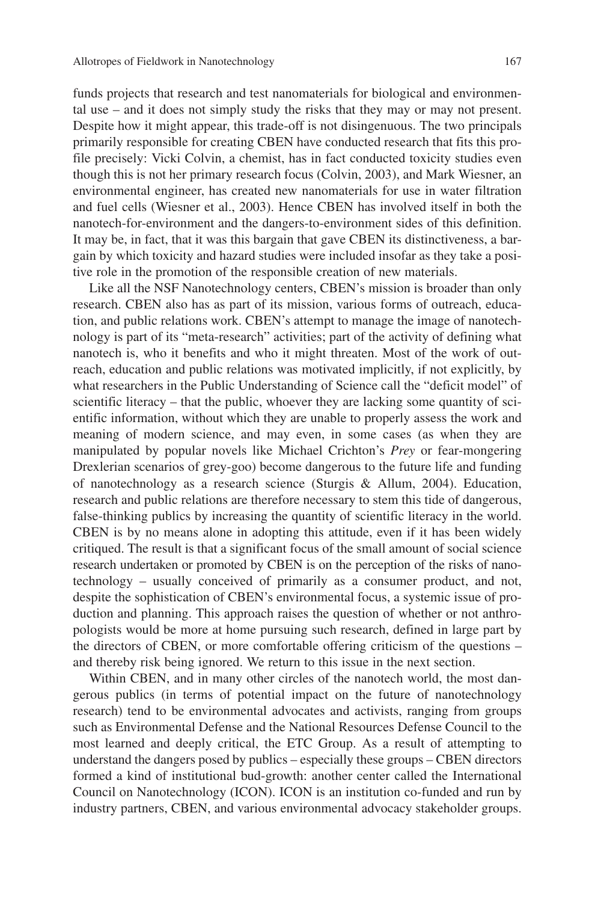funds projects that research and test nanomaterials for biological and environmental use – and it does not simply study the risks that they may or may not present. Despite how it might appear, this trade-off is not disingenuous. The two principals primarily responsible for creating CBEN have conducted research that fits this profile precisely: Vicki Colvin, a chemist, has in fact conducted toxicity studies even though this is not her primary research focus (Colvin, 2003), and Mark Wiesner, an environmental engineer, has created new nanomaterials for use in water filtration and fuel cells (Wiesner et al., 2003). Hence CBEN has involved itself in both the nanotech-for-environment and the dangers-to-environment sides of this definition. It may be, in fact, that it was this bargain that gave CBEN its distinctiveness, a bargain by which toxicity and hazard studies were included insofar as they take a positive role in the promotion of the responsible creation of new materials.

Like all the NSF Nanotechnology centers, CBEN's mission is broader than only research. CBEN also has as part of its mission, various forms of outreach, education, and public relations work. CBEN's attempt to manage the image of nanotechnology is part of its "meta-research" activities; part of the activity of defining what nanotech is, who it benefits and who it might threaten. Most of the work of outreach, education and public relations was motivated implicitly, if not explicitly, by what researchers in the Public Understanding of Science call the "deficit model" of scientific literacy – that the public, whoever they are lacking some quantity of scientific information, without which they are unable to properly assess the work and meaning of modern science, and may even, in some cases (as when they are manipulated by popular novels like Michael Crichton's *Prey* or fear-mongering Drexlerian scenarios of grey-goo) become dangerous to the future life and funding of nanotechnology as a research science (Sturgis & Allum, 2004). Education, research and public relations are therefore necessary to stem this tide of dangerous, false-thinking publics by increasing the quantity of scientific literacy in the world. CBEN is by no means alone in adopting this attitude, even if it has been widely critiqued. The result is that a significant focus of the small amount of social science research undertaken or promoted by CBEN is on the perception of the risks of nanotechnology – usually conceived of primarily as a consumer product, and not, despite the sophistication of CBEN's environmental focus, a systemic issue of production and planning. This approach raises the question of whether or not anthropologists would be more at home pursuing such research, defined in large part by the directors of CBEN, or more comfortable offering criticism of the questions – and thereby risk being ignored. We return to this issue in the next section.

Within CBEN, and in many other circles of the nanotech world, the most dangerous publics (in terms of potential impact on the future of nanotechnology research) tend to be environmental advocates and activists, ranging from groups such as Environmental Defense and the National Resources Defense Council to the most learned and deeply critical, the ETC Group. As a result of attempting to understand the dangers posed by publics – especially these groups – CBEN directors formed a kind of institutional bud-growth: another center called the International Council on Nanotechnology (ICON). ICON is an institution co-funded and run by industry partners, CBEN, and various environmental advocacy stakeholder groups.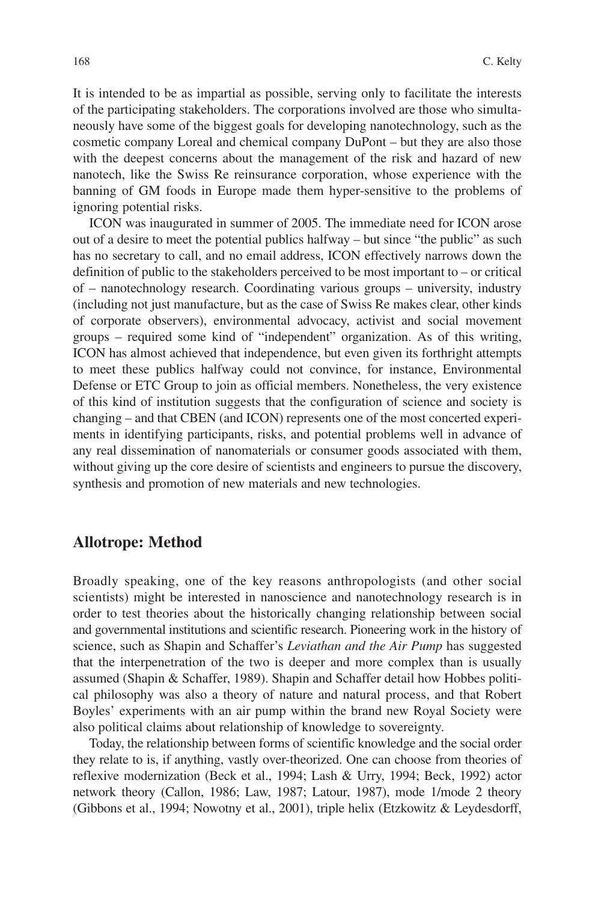It is intended to be as impartial as possible, serving only to facilitate the interests of the participating stakeholders. The corporations involved are those who simultaneously have some of the biggest goals for developing nanotechnology, such as the cosmetic company Loreal and chemical company DuPont – but they are also those with the deepest concerns about the management of the risk and hazard of new nanotech, like the Swiss Re reinsurance corporation, whose experience with the banning of GM foods in Europe made them hyper-sensitive to the problems of ignoring potential risks.

ICON was inaugurated in summer of 2005. The immediate need for ICON arose out of a desire to meet the potential publics halfway – but since "the public" as such has no secretary to call, and no email address, ICON effectively narrows down the definition of public to the stakeholders perceived to be most important to – or critical of – nanotechnology research. Coordinating various groups – university, industry (including not just manufacture, but as the case of Swiss Re makes clear, other kinds of corporate observers), environmental advocacy, activist and social movement groups – required some kind of "independent" organization. As of this writing, ICON has almost achieved that independence, but even given its forthright attempts to meet these publics halfway could not convince, for instance, Environmental Defense or ETC Group to join as official members. Nonetheless, the very existence of this kind of institution suggests that the configuration of science and society is changing – and that CBEN (and ICON) represents one of the most concerted experiments in identifying participants, risks, and potential problems well in advance of any real dissemination of nanomaterials or consumer goods associated with them, without giving up the core desire of scientists and engineers to pursue the discovery, synthesis and promotion of new materials and new technologies.

# **Allotrope: Method**

Broadly speaking, one of the key reasons anthropologists (and other social scientists) might be interested in nanoscience and nanotechnology research is in order to test theories about the historically changing relationship between social and governmental institutions and scientific research. Pioneering work in the history of science, such as Shapin and Schaffer's *Leviathan and the Air Pump* has suggested that the interpenetration of the two is deeper and more complex than is usually assumed (Shapin & Schaffer, 1989). Shapin and Schaffer detail how Hobbes political philosophy was also a theory of nature and natural process, and that Robert Boyles' experiments with an air pump within the brand new Royal Society were also political claims about relationship of knowledge to sovereignty.

Today, the relationship between forms of scientific knowledge and the social order they relate to is, if anything, vastly over-theorized. One can choose from theories of reflexive modernization (Beck et al., 1994; Lash & Urry, 1994; Beck, 1992) actor network theory (Callon, 1986; Law, 1987; Latour, 1987), mode 1/mode 2 theory (Gibbons et al., 1994; Nowotny et al., 2001), triple helix (Etzkowitz & Leydesdorff,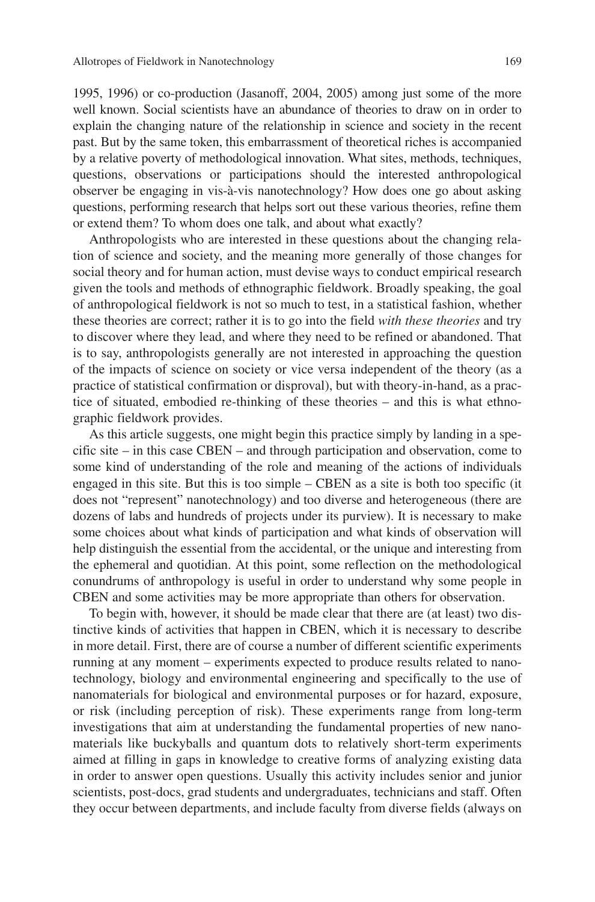1995, 1996) or co-production (Jasanoff, 2004, 2005) among just some of the more well known. Social scientists have an abundance of theories to draw on in order to explain the changing nature of the relationship in science and society in the recent past. But by the same token, this embarrassment of theoretical riches is accompanied by a relative poverty of methodological innovation. What sites, methods, techniques, questions, observations or participations should the interested anthropological observer be engaging in vis-à-vis nanotechnology? How does one go about asking questions, performing research that helps sort out these various theories, refine them or extend them? To whom does one talk, and about what exactly?

Anthropologists who are interested in these questions about the changing relation of science and society, and the meaning more generally of those changes for social theory and for human action, must devise ways to conduct empirical research given the tools and methods of ethnographic fieldwork. Broadly speaking, the goal of anthropological fieldwork is not so much to test, in a statistical fashion, whether these theories are correct; rather it is to go into the field *with these theories* and try to discover where they lead, and where they need to be refined or abandoned. That is to say, anthropologists generally are not interested in approaching the question of the impacts of science on society or vice versa independent of the theory (as a practice of statistical confirmation or disproval), but with theory-in-hand, as a practice of situated, embodied re-thinking of these theories – and this is what ethnographic fieldwork provides.

As this article suggests, one might begin this practice simply by landing in a specific site – in this case CBEN – and through participation and observation, come to some kind of understanding of the role and meaning of the actions of individuals engaged in this site. But this is too simple – CBEN as a site is both too specific (it does not "represent" nanotechnology) and too diverse and heterogeneous (there are dozens of labs and hundreds of projects under its purview). It is necessary to make some choices about what kinds of participation and what kinds of observation will help distinguish the essential from the accidental, or the unique and interesting from the ephemeral and quotidian. At this point, some reflection on the methodological conundrums of anthropology is useful in order to understand why some people in CBEN and some activities may be more appropriate than others for observation.

To begin with, however, it should be made clear that there are (at least) two distinctive kinds of activities that happen in CBEN, which it is necessary to describe in more detail. First, there are of course a number of different scientific experiments running at any moment – experiments expected to produce results related to nanotechnology, biology and environmental engineering and specifically to the use of nanomaterials for biological and environmental purposes or for hazard, exposure, or risk (including perception of risk). These experiments range from long-term investigations that aim at understanding the fundamental properties of new nanomaterials like buckyballs and quantum dots to relatively short-term experiments aimed at filling in gaps in knowledge to creative forms of analyzing existing data in order to answer open questions. Usually this activity includes senior and junior scientists, post-docs, grad students and undergraduates, technicians and staff. Often they occur between departments, and include faculty from diverse fields (always on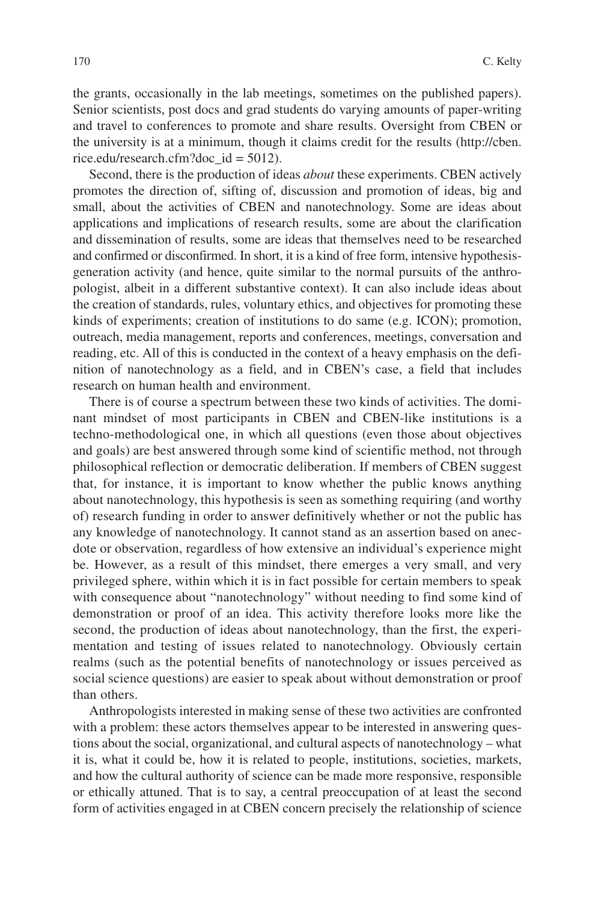the grants, occasionally in the lab meetings, sometimes on the published papers). Senior scientists, post docs and grad students do varying amounts of paper-writing and travel to conferences to promote and share results. Oversight from CBEN or the university is at a minimum, though it claims credit for the results (http://cben. rice.edu/research.cfm?doc\_id =  $5012$ ).

Second, there is the production of ideas *about* these experiments. CBEN actively promotes the direction of, sifting of, discussion and promotion of ideas, big and small, about the activities of CBEN and nanotechnology. Some are ideas about applications and implications of research results, some are about the clarification and dissemination of results, some are ideas that themselves need to be researched and confirmed or disconfirmed. In short, it is a kind of free form, intensive hypothesisgeneration activity (and hence, quite similar to the normal pursuits of the anthropologist, albeit in a different substantive context). It can also include ideas about the creation of standards, rules, voluntary ethics, and objectives for promoting these kinds of experiments; creation of institutions to do same (e.g. ICON); promotion, outreach, media management, reports and conferences, meetings, conversation and reading, etc. All of this is conducted in the context of a heavy emphasis on the definition of nanotechnology as a field, and in CBEN's case, a field that includes research on human health and environment.

There is of course a spectrum between these two kinds of activities. The dominant mindset of most participants in CBEN and CBEN-like institutions is a techno-methodological one, in which all questions (even those about objectives and goals) are best answered through some kind of scientific method, not through philosophical reflection or democratic deliberation. If members of CBEN suggest that, for instance, it is important to know whether the public knows anything about nanotechnology, this hypothesis is seen as something requiring (and worthy of) research funding in order to answer definitively whether or not the public has any knowledge of nanotechnology. It cannot stand as an assertion based on anecdote or observation, regardless of how extensive an individual's experience might be. However, as a result of this mindset, there emerges a very small, and very privileged sphere, within which it is in fact possible for certain members to speak with consequence about "nanotechnology" without needing to find some kind of demonstration or proof of an idea. This activity therefore looks more like the second, the production of ideas about nanotechnology, than the first, the experimentation and testing of issues related to nanotechnology. Obviously certain realms (such as the potential benefits of nanotechnology or issues perceived as social science questions) are easier to speak about without demonstration or proof than others.

Anthropologists interested in making sense of these two activities are confronted with a problem: these actors themselves appear to be interested in answering questions about the social, organizational, and cultural aspects of nanotechnology – what it is, what it could be, how it is related to people, institutions, societies, markets, and how the cultural authority of science can be made more responsive, responsible or ethically attuned. That is to say, a central preoccupation of at least the second form of activities engaged in at CBEN concern precisely the relationship of science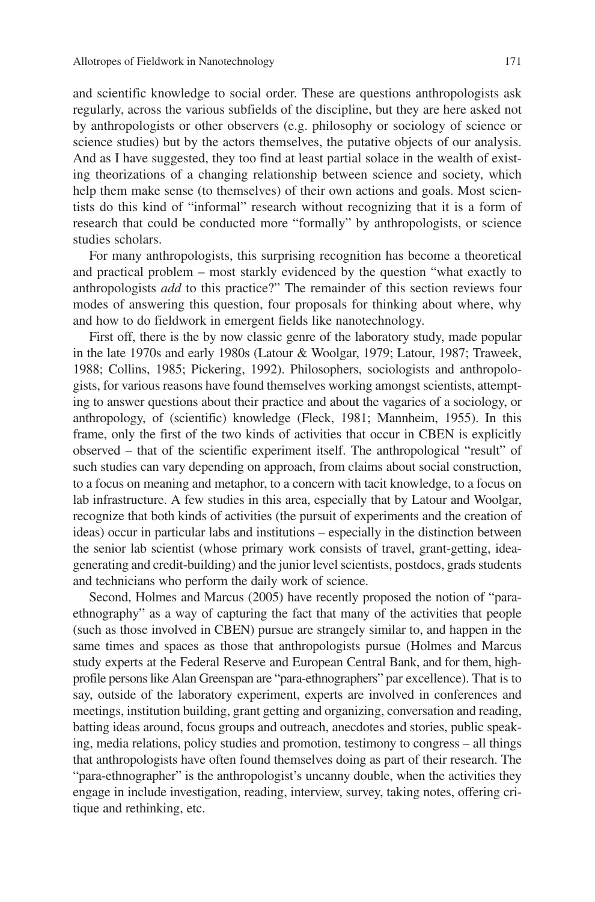and scientific knowledge to social order. These are questions anthropologists ask regularly, across the various subfields of the discipline, but they are here asked not by anthropologists or other observers (e.g. philosophy or sociology of science or science studies) but by the actors themselves, the putative objects of our analysis. And as I have suggested, they too find at least partial solace in the wealth of existing theorizations of a changing relationship between science and society, which help them make sense (to themselves) of their own actions and goals. Most scientists do this kind of "informal" research without recognizing that it is a form of research that could be conducted more "formally" by anthropologists, or science studies scholars.

For many anthropologists, this surprising recognition has become a theoretical and practical problem – most starkly evidenced by the question "what exactly to anthropologists *add* to this practice?" The remainder of this section reviews four modes of answering this question, four proposals for thinking about where, why and how to do fieldwork in emergent fields like nanotechnology.

First off, there is the by now classic genre of the laboratory study, made popular in the late 1970s and early 1980s (Latour & Woolgar, 1979; Latour, 1987; Traweek, 1988; Collins, 1985; Pickering, 1992). Philosophers, sociologists and anthropologists, for various reasons have found themselves working amongst scientists, attempting to answer questions about their practice and about the vagaries of a sociology, or anthropology, of (scientific) knowledge (Fleck, 1981; Mannheim, 1955). In this frame, only the first of the two kinds of activities that occur in CBEN is explicitly observed – that of the scientific experiment itself. The anthropological "result" of such studies can vary depending on approach, from claims about social construction, to a focus on meaning and metaphor, to a concern with tacit knowledge, to a focus on lab infrastructure. A few studies in this area, especially that by Latour and Woolgar, recognize that both kinds of activities (the pursuit of experiments and the creation of ideas) occur in particular labs and institutions – especially in the distinction between the senior lab scientist (whose primary work consists of travel, grant-getting, ideagenerating and credit-building) and the junior level scientists, postdocs, grads students and technicians who perform the daily work of science.

Second, Holmes and Marcus (2005) have recently proposed the notion of "paraethnography" as a way of capturing the fact that many of the activities that people (such as those involved in CBEN) pursue are strangely similar to, and happen in the same times and spaces as those that anthropologists pursue (Holmes and Marcus study experts at the Federal Reserve and European Central Bank, and for them, highprofile persons like Alan Greenspan are "para-ethnographers" par excellence). That is to say, outside of the laboratory experiment, experts are involved in conferences and meetings, institution building, grant getting and organizing, conversation and reading, batting ideas around, focus groups and outreach, anecdotes and stories, public speaking, media relations, policy studies and promotion, testimony to congress – all things that anthropologists have often found themselves doing as part of their research. The "para-ethnographer" is the anthropologist's uncanny double, when the activities they engage in include investigation, reading, interview, survey, taking notes, offering critique and rethinking, etc.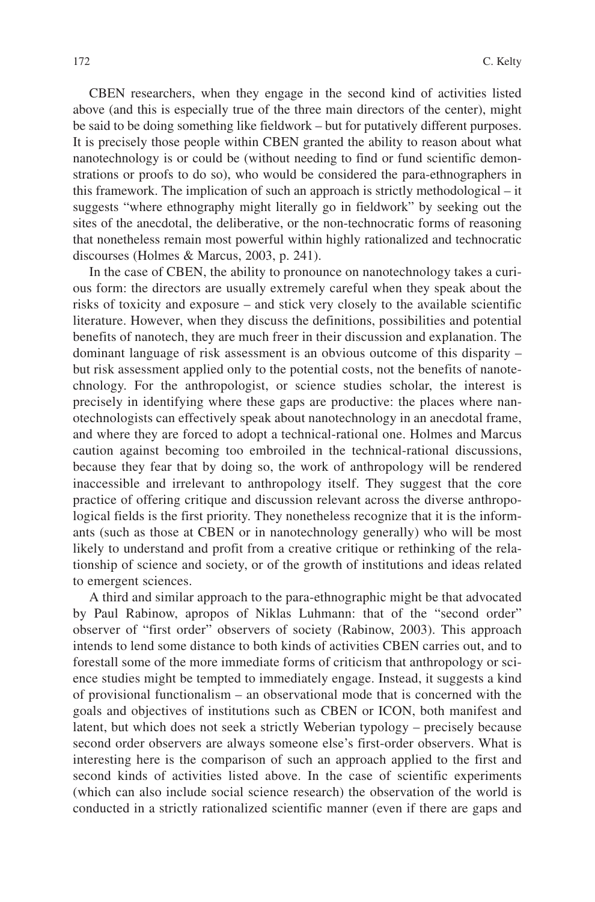CBEN researchers, when they engage in the second kind of activities listed above (and this is especially true of the three main directors of the center), might be said to be doing something like fieldwork – but for putatively different purposes. It is precisely those people within CBEN granted the ability to reason about what nanotechnology is or could be (without needing to find or fund scientific demonstrations or proofs to do so), who would be considered the para-ethnographers in this framework. The implication of such an approach is strictly methodological – it suggests "where ethnography might literally go in fieldwork" by seeking out the sites of the anecdotal, the deliberative, or the non-technocratic forms of reasoning that nonetheless remain most powerful within highly rationalized and technocratic discourses (Holmes & Marcus, 2003, p. 241).

In the case of CBEN, the ability to pronounce on nanotechnology takes a curious form: the directors are usually extremely careful when they speak about the risks of toxicity and exposure – and stick very closely to the available scientific literature. However, when they discuss the definitions, possibilities and potential benefits of nanotech, they are much freer in their discussion and explanation. The dominant language of risk assessment is an obvious outcome of this disparity – but risk assessment applied only to the potential costs, not the benefits of nanotechnology. For the anthropologist, or science studies scholar, the interest is precisely in identifying where these gaps are productive: the places where nanotechnologists can effectively speak about nanotechnology in an anecdotal frame, and where they are forced to adopt a technical-rational one. Holmes and Marcus caution against becoming too embroiled in the technical-rational discussions, because they fear that by doing so, the work of anthropology will be rendered inaccessible and irrelevant to anthropology itself. They suggest that the core practice of offering critique and discussion relevant across the diverse anthropological fields is the first priority. They nonetheless recognize that it is the informants (such as those at CBEN or in nanotechnology generally) who will be most likely to understand and profit from a creative critique or rethinking of the relationship of science and society, or of the growth of institutions and ideas related to emergent sciences.

A third and similar approach to the para-ethnographic might be that advocated by Paul Rabinow, apropos of Niklas Luhmann: that of the "second order" observer of "first order" observers of society (Rabinow, 2003). This approach intends to lend some distance to both kinds of activities CBEN carries out, and to forestall some of the more immediate forms of criticism that anthropology or science studies might be tempted to immediately engage. Instead, it suggests a kind of provisional functionalism – an observational mode that is concerned with the goals and objectives of institutions such as CBEN or ICON, both manifest and latent, but which does not seek a strictly Weberian typology – precisely because second order observers are always someone else's first-order observers. What is interesting here is the comparison of such an approach applied to the first and second kinds of activities listed above. In the case of scientific experiments (which can also include social science research) the observation of the world is conducted in a strictly rationalized scientific manner (even if there are gaps and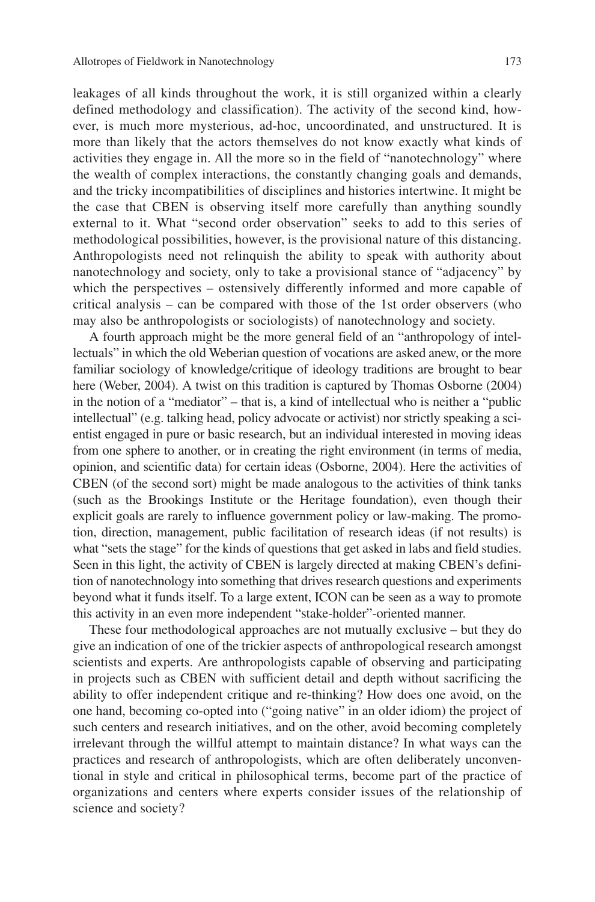leakages of all kinds throughout the work, it is still organized within a clearly defined methodology and classification). The activity of the second kind, however, is much more mysterious, ad-hoc, uncoordinated, and unstructured. It is more than likely that the actors themselves do not know exactly what kinds of activities they engage in. All the more so in the field of "nanotechnology" where the wealth of complex interactions, the constantly changing goals and demands, and the tricky incompatibilities of disciplines and histories intertwine. It might be the case that CBEN is observing itself more carefully than anything soundly external to it. What "second order observation" seeks to add to this series of methodological possibilities, however, is the provisional nature of this distancing. Anthropologists need not relinquish the ability to speak with authority about nanotechnology and society, only to take a provisional stance of "adjacency" by which the perspectives – ostensively differently informed and more capable of critical analysis – can be compared with those of the 1st order observers (who may also be anthropologists or sociologists) of nanotechnology and society.

A fourth approach might be the more general field of an "anthropology of intellectuals" in which the old Weberian question of vocations are asked anew, or the more familiar sociology of knowledge/critique of ideology traditions are brought to bear here (Weber, 2004). A twist on this tradition is captured by Thomas Osborne (2004) in the notion of a "mediator" – that is, a kind of intellectual who is neither a "public intellectual" (e.g. talking head, policy advocate or activist) nor strictly speaking a scientist engaged in pure or basic research, but an individual interested in moving ideas from one sphere to another, or in creating the right environment (in terms of media, opinion, and scientific data) for certain ideas (Osborne, 2004). Here the activities of CBEN (of the second sort) might be made analogous to the activities of think tanks (such as the Brookings Institute or the Heritage foundation), even though their explicit goals are rarely to influence government policy or law-making. The promotion, direction, management, public facilitation of research ideas (if not results) is what "sets the stage" for the kinds of questions that get asked in labs and field studies. Seen in this light, the activity of CBEN is largely directed at making CBEN's definition of nanotechnology into something that drives research questions and experiments beyond what it funds itself. To a large extent, ICON can be seen as a way to promote this activity in an even more independent "stake-holder"-oriented manner.

These four methodological approaches are not mutually exclusive – but they do give an indication of one of the trickier aspects of anthropological research amongst scientists and experts. Are anthropologists capable of observing and participating in projects such as CBEN with sufficient detail and depth without sacrificing the ability to offer independent critique and re-thinking? How does one avoid, on the one hand, becoming co-opted into ("going native" in an older idiom) the project of such centers and research initiatives, and on the other, avoid becoming completely irrelevant through the willful attempt to maintain distance? In what ways can the practices and research of anthropologists, which are often deliberately unconventional in style and critical in philosophical terms, become part of the practice of organizations and centers where experts consider issues of the relationship of science and society?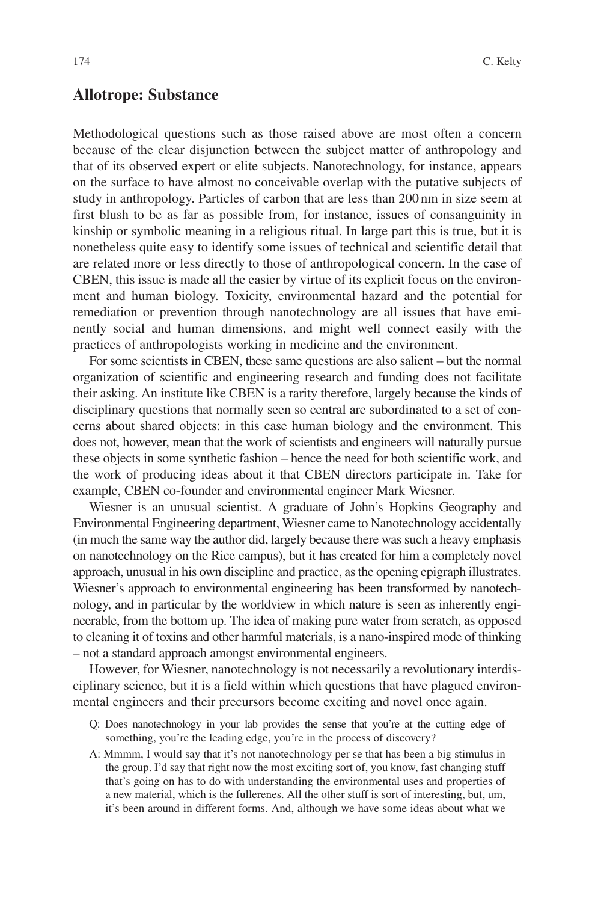#### **Allotrope: Substance**

Methodological questions such as those raised above are most often a concern because of the clear disjunction between the subject matter of anthropology and that of its observed expert or elite subjects. Nanotechnology, for instance, appears on the surface to have almost no conceivable overlap with the putative subjects of study in anthropology. Particles of carbon that are less than 200 nm in size seem at first blush to be as far as possible from, for instance, issues of consanguinity in kinship or symbolic meaning in a religious ritual. In large part this is true, but it is nonetheless quite easy to identify some issues of technical and scientific detail that are related more or less directly to those of anthropological concern. In the case of CBEN, this issue is made all the easier by virtue of its explicit focus on the environment and human biology. Toxicity, environmental hazard and the potential for remediation or prevention through nanotechnology are all issues that have eminently social and human dimensions, and might well connect easily with the practices of anthropologists working in medicine and the environment.

For some scientists in CBEN, these same questions are also salient – but the normal organization of scientific and engineering research and funding does not facilitate their asking. An institute like CBEN is a rarity therefore, largely because the kinds of disciplinary questions that normally seen so central are subordinated to a set of concerns about shared objects: in this case human biology and the environment. This does not, however, mean that the work of scientists and engineers will naturally pursue these objects in some synthetic fashion – hence the need for both scientific work, and the work of producing ideas about it that CBEN directors participate in. Take for example, CBEN co-founder and environmental engineer Mark Wiesner.

Wiesner is an unusual scientist. A graduate of John's Hopkins Geography and Environmental Engineering department, Wiesner came to Nanotechnology accidentally (in much the same way the author did, largely because there was such a heavy emphasis on nanotechnology on the Rice campus), but it has created for him a completely novel approach, unusual in his own discipline and practice, as the opening epigraph illustrates. Wiesner's approach to environmental engineering has been transformed by nanotechnology, and in particular by the worldview in which nature is seen as inherently engineerable, from the bottom up. The idea of making pure water from scratch, as opposed to cleaning it of toxins and other harmful materials, is a nano-inspired mode of thinking – not a standard approach amongst environmental engineers.

However, for Wiesner, nanotechnology is not necessarily a revolutionary interdisciplinary science, but it is a field within which questions that have plagued environmental engineers and their precursors become exciting and novel once again.

- Q: Does nanotechnology in your lab provides the sense that you're at the cutting edge of something, you're the leading edge, you're in the process of discovery?
- A: Mmmm, I would say that it's not nanotechnology per se that has been a big stimulus in the group. I'd say that right now the most exciting sort of, you know, fast changing stuff that's going on has to do with understanding the environmental uses and properties of a new material, which is the fullerenes. All the other stuff is sort of interesting, but, um, it's been around in different forms. And, although we have some ideas about what we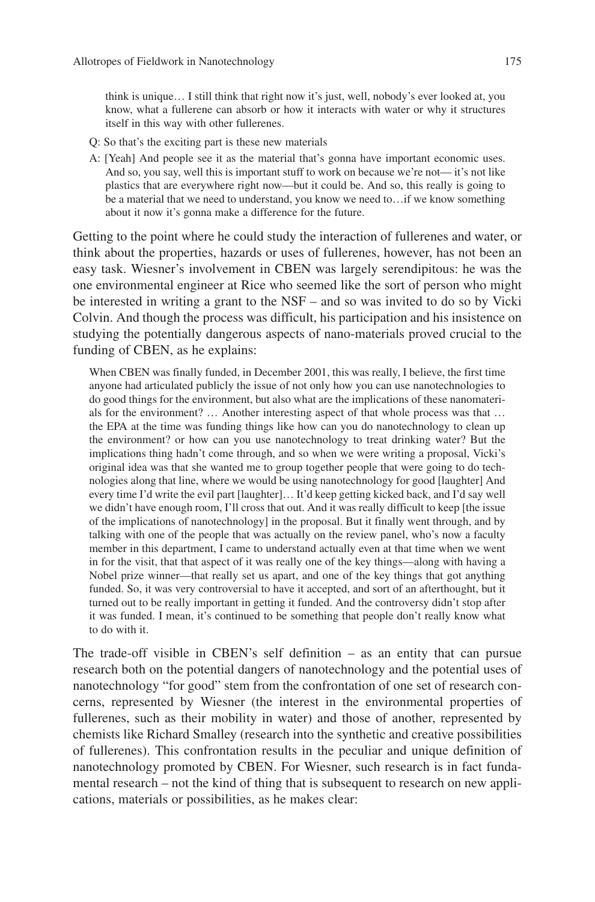think is unique… I still think that right now it's just, well, nobody's ever looked at, you know, what a fullerene can absorb or how it interacts with water or why it structures itself in this way with other fullerenes.

- Q: So that's the exciting part is these new materials
- A: [Yeah] And people see it as the material that's gonna have important economic uses. And so, you say, well this is important stuff to work on because we're not— it's not like plastics that are everywhere right now—but it could be. And so, this really is going to be a material that we need to understand, you know we need to…if we know something about it now it's gonna make a difference for the future.

Getting to the point where he could study the interaction of fullerenes and water, or think about the properties, hazards or uses of fullerenes, however, has not been an easy task. Wiesner's involvement in CBEN was largely serendipitous: he was the one environmental engineer at Rice who seemed like the sort of person who might be interested in writing a grant to the NSF – and so was invited to do so by Vicki Colvin. And though the process was difficult, his participation and his insistence on studying the potentially dangerous aspects of nano-materials proved crucial to the funding of CBEN, as he explains:

When CBEN was finally funded, in December 2001, this was really, I believe, the first time anyone had articulated publicly the issue of not only how you can use nanotechnologies to do good things for the environment, but also what are the implications of these nanomaterials for the environment? … Another interesting aspect of that whole process was that … the EPA at the time was funding things like how can you do nanotechnology to clean up the environment? or how can you use nanotechnology to treat drinking water? But the implications thing hadn't come through, and so when we were writing a proposal, Vicki's original idea was that she wanted me to group together people that were going to do technologies along that line, where we would be using nanotechnology for good [laughter] And every time I'd write the evil part [laughter]… It'd keep getting kicked back, and I'd say well we didn't have enough room, I'll cross that out. And it was really difficult to keep [the issue of the implications of nanotechnology] in the proposal. But it finally went through, and by talking with one of the people that was actually on the review panel, who's now a faculty member in this department, I came to understand actually even at that time when we went in for the visit, that that aspect of it was really one of the key things—along with having a Nobel prize winner—that really set us apart, and one of the key things that got anything funded. So, it was very controversial to have it accepted, and sort of an afterthought, but it turned out to be really important in getting it funded. And the controversy didn't stop after it was funded. I mean, it's continued to be something that people don't really know what to do with it.

The trade-off visible in CBEN's self definition – as an entity that can pursue research both on the potential dangers of nanotechnology and the potential uses of nanotechnology "for good" stem from the confrontation of one set of research concerns, represented by Wiesner (the interest in the environmental properties of fullerenes, such as their mobility in water) and those of another, represented by chemists like Richard Smalley (research into the synthetic and creative possibilities of fullerenes). This confrontation results in the peculiar and unique definition of nanotechnology promoted by CBEN. For Wiesner, such research is in fact fundamental research – not the kind of thing that is subsequent to research on new applications, materials or possibilities, as he makes clear: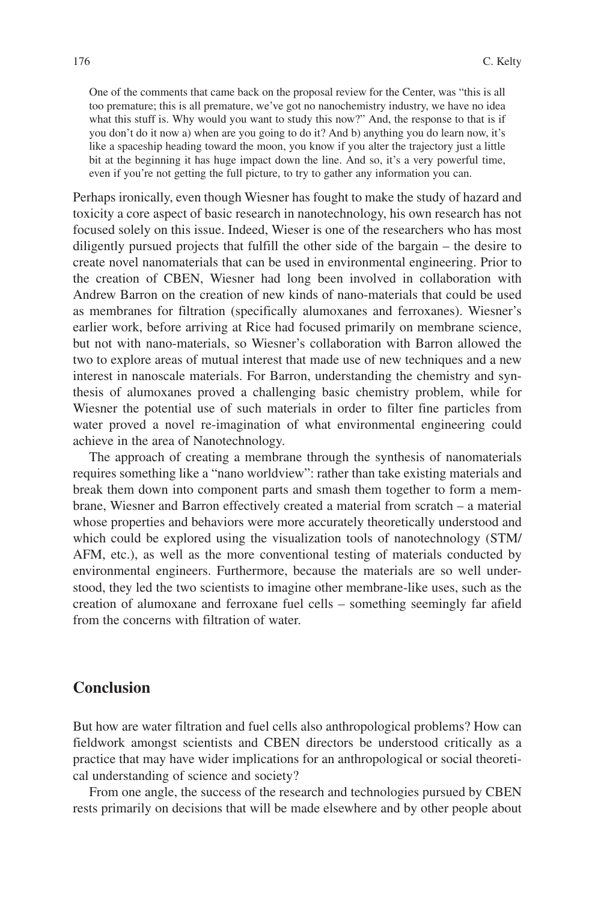One of the comments that came back on the proposal review for the Center, was "this is all too premature; this is all premature, we've got no nanochemistry industry, we have no idea what this stuff is. Why would you want to study this now?" And, the response to that is if you don't do it now a) when are you going to do it? And b) anything you do learn now, it's like a spaceship heading toward the moon, you know if you alter the trajectory just a little bit at the beginning it has huge impact down the line. And so, it's a very powerful time, even if you're not getting the full picture, to try to gather any information you can.

Perhaps ironically, even though Wiesner has fought to make the study of hazard and toxicity a core aspect of basic research in nanotechnology, his own research has not focused solely on this issue. Indeed, Wieser is one of the researchers who has most diligently pursued projects that fulfill the other side of the bargain – the desire to create novel nanomaterials that can be used in environmental engineering. Prior to the creation of CBEN, Wiesner had long been involved in collaboration with Andrew Barron on the creation of new kinds of nano-materials that could be used as membranes for filtration (specifically alumoxanes and ferroxanes). Wiesner's earlier work, before arriving at Rice had focused primarily on membrane science, but not with nano-materials, so Wiesner's collaboration with Barron allowed the two to explore areas of mutual interest that made use of new techniques and a new interest in nanoscale materials. For Barron, understanding the chemistry and synthesis of alumoxanes proved a challenging basic chemistry problem, while for Wiesner the potential use of such materials in order to filter fine particles from water proved a novel re-imagination of what environmental engineering could achieve in the area of Nanotechnology.

The approach of creating a membrane through the synthesis of nanomaterials requires something like a "nano worldview": rather than take existing materials and break them down into component parts and smash them together to form a membrane, Wiesner and Barron effectively created a material from scratch – a material whose properties and behaviors were more accurately theoretically understood and which could be explored using the visualization tools of nanotechnology (STM/ AFM, etc.), as well as the more conventional testing of materials conducted by environmental engineers. Furthermore, because the materials are so well understood, they led the two scientists to imagine other membrane-like uses, such as the creation of alumoxane and ferroxane fuel cells – something seemingly far afield from the concerns with filtration of water.

# **Conclusion**

But how are water filtration and fuel cells also anthropological problems? How can fieldwork amongst scientists and CBEN directors be understood critically as a practice that may have wider implications for an anthropological or social theoretical understanding of science and society?

From one angle, the success of the research and technologies pursued by CBEN rests primarily on decisions that will be made elsewhere and by other people about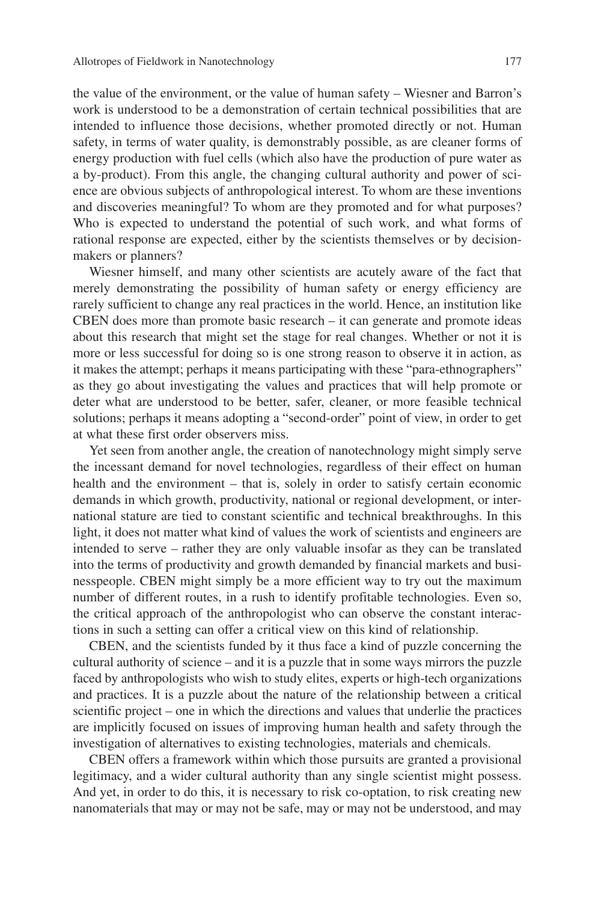the value of the environment, or the value of human safety – Wiesner and Barron's work is understood to be a demonstration of certain technical possibilities that are intended to influence those decisions, whether promoted directly or not. Human safety, in terms of water quality, is demonstrably possible, as are cleaner forms of energy production with fuel cells (which also have the production of pure water as a by-product). From this angle, the changing cultural authority and power of science are obvious subjects of anthropological interest. To whom are these inventions and discoveries meaningful? To whom are they promoted and for what purposes? Who is expected to understand the potential of such work, and what forms of rational response are expected, either by the scientists themselves or by decisionmakers or planners?

Wiesner himself, and many other scientists are acutely aware of the fact that merely demonstrating the possibility of human safety or energy efficiency are rarely sufficient to change any real practices in the world. Hence, an institution like CBEN does more than promote basic research – it can generate and promote ideas about this research that might set the stage for real changes. Whether or not it is more or less successful for doing so is one strong reason to observe it in action, as it makes the attempt; perhaps it means participating with these "para-ethnographers" as they go about investigating the values and practices that will help promote or deter what are understood to be better, safer, cleaner, or more feasible technical solutions; perhaps it means adopting a "second-order" point of view, in order to get at what these first order observers miss.

Yet seen from another angle, the creation of nanotechnology might simply serve the incessant demand for novel technologies, regardless of their effect on human health and the environment – that is, solely in order to satisfy certain economic demands in which growth, productivity, national or regional development, or international stature are tied to constant scientific and technical breakthroughs. In this light, it does not matter what kind of values the work of scientists and engineers are intended to serve – rather they are only valuable insofar as they can be translated into the terms of productivity and growth demanded by financial markets and businesspeople. CBEN might simply be a more efficient way to try out the maximum number of different routes, in a rush to identify profitable technologies. Even so, the critical approach of the anthropologist who can observe the constant interactions in such a setting can offer a critical view on this kind of relationship.

CBEN, and the scientists funded by it thus face a kind of puzzle concerning the cultural authority of science – and it is a puzzle that in some ways mirrors the puzzle faced by anthropologists who wish to study elites, experts or high-tech organizations and practices. It is a puzzle about the nature of the relationship between a critical scientific project – one in which the directions and values that underlie the practices are implicitly focused on issues of improving human health and safety through the investigation of alternatives to existing technologies, materials and chemicals.

CBEN offers a framework within which those pursuits are granted a provisional legitimacy, and a wider cultural authority than any single scientist might possess. And yet, in order to do this, it is necessary to risk co-optation, to risk creating new nanomaterials that may or may not be safe, may or may not be understood, and may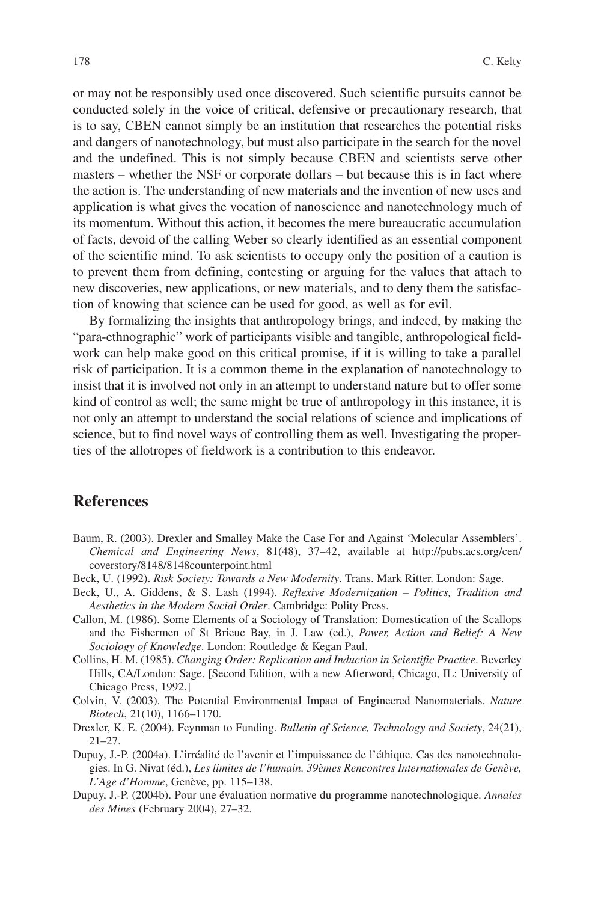or may not be responsibly used once discovered. Such scientific pursuits cannot be conducted solely in the voice of critical, defensive or precautionary research, that is to say, CBEN cannot simply be an institution that researches the potential risks and dangers of nanotechnology, but must also participate in the search for the novel and the undefined. This is not simply because CBEN and scientists serve other masters – whether the NSF or corporate dollars – but because this is in fact where the action is. The understanding of new materials and the invention of new uses and application is what gives the vocation of nanoscience and nanotechnology much of its momentum. Without this action, it becomes the mere bureaucratic accumulation of facts, devoid of the calling Weber so clearly identified as an essential component of the scientific mind. To ask scientists to occupy only the position of a caution is to prevent them from defining, contesting or arguing for the values that attach to new discoveries, new applications, or new materials, and to deny them the satisfaction of knowing that science can be used for good, as well as for evil.

By formalizing the insights that anthropology brings, and indeed, by making the "para-ethnographic" work of participants visible and tangible, anthropological fieldwork can help make good on this critical promise, if it is willing to take a parallel risk of participation. It is a common theme in the explanation of nanotechnology to insist that it is involved not only in an attempt to understand nature but to offer some kind of control as well; the same might be true of anthropology in this instance, it is not only an attempt to understand the social relations of science and implications of science, but to find novel ways of controlling them as well. Investigating the properties of the allotropes of fieldwork is a contribution to this endeavor.

# **References**

- Baum, R. (2003). Drexler and Smalley Make the Case For and Against 'Molecular Assemblers'. *Chemical and Engineering News*, 81(48), 37–42, available at http://pubs.acs.org/cen/ coverstory/8148/8148counterpoint.html
- Beck, U. (1992). *Risk Society: Towards a New Modernity*. Trans. Mark Ritter. London: Sage.
- Beck, U., A. Giddens, & S. Lash (1994). *Reflexive Modernization Politics, Tradition and Aesthetics in the Modern Social Order*. Cambridge: Polity Press.
- Callon, M. (1986). Some Elements of a Sociology of Translation: Domestication of the Scallops and the Fishermen of St Brieuc Bay, in J. Law (ed.), *Power, Action and Belief: A New Sociology of Knowledge*. London: Routledge & Kegan Paul.
- Collins, H. M. (1985). *Changing Order: Replication and Induction in Scientific Practice*. Beverley Hills, CA/London: Sage. [Second Edition, with a new Afterword, Chicago, IL: University of Chicago Press, 1992.]
- Colvin, V. (2003). The Potential Environmental Impact of Engineered Nanomaterials. *Nature Biotech*, 21(10), 1166–1170.
- Drexler, K. E. (2004). Feynman to Funding. *Bulletin of Science, Technology and Society*, 24(21), 21–27.
- Dupuy, J.-P. (2004a). L'irréalité de l'avenir et l'impuissance de l'éthique. Cas des nanotechnologies. In G. Nivat (éd.), *Les limites de l'humain. 39èmes Rencontres Internationales de Genève, L'Age d'Homme*, Genève, pp. 115–138.
- Dupuy, J.-P. (2004b). Pour une évaluation normative du programme nanotechnologique. *Annales des Mines* (February 2004), 27–32.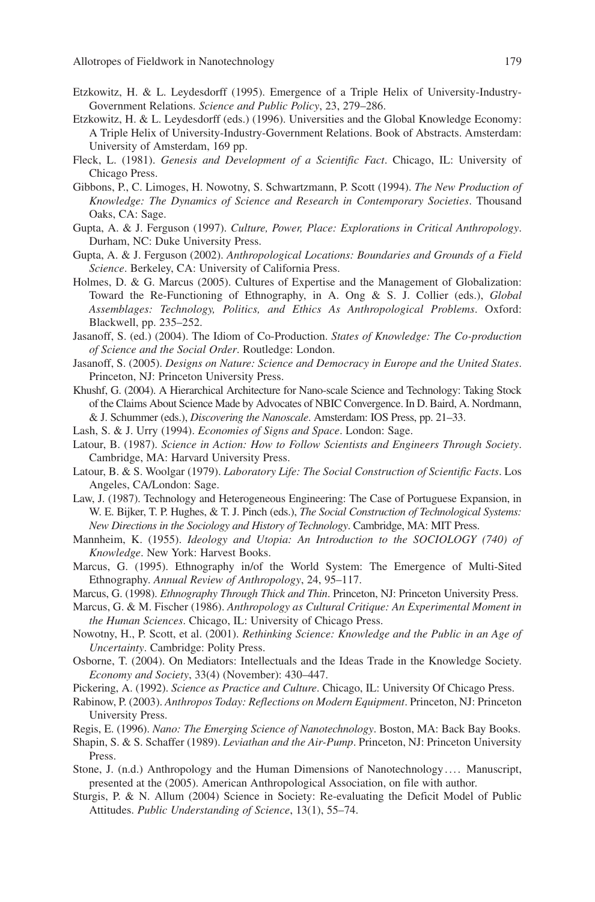- Etzkowitz, H. & L. Leydesdorff (1995). Emergence of a Triple Helix of University-Industry-Government Relations. *Science and Public Policy*, 23, 279–286.
- Etzkowitz, H. & L. Leydesdorff (eds.) (1996). Universities and the Global Knowledge Economy: A Triple Helix of University-Industry-Government Relations. Book of Abstracts. Amsterdam: University of Amsterdam, 169 pp.
- Fleck, L. (1981). *Genesis and Development of a Scientific Fact*. Chicago, IL: University of Chicago Press.
- Gibbons, P., C. Limoges, H. Nowotny, S. Schwartzmann, P. Scott (1994). *The New Production of Knowledge: The Dynamics of Science and Research in Contemporary Societies*. Thousand Oaks, CA: Sage.
- Gupta, A. & J. Ferguson (1997). *Culture, Power, Place: Explorations in Critical Anthropology*. Durham, NC: Duke University Press.
- Gupta, A. & J. Ferguson (2002). *Anthropological Locations: Boundaries and Grounds of a Field Science*. Berkeley, CA: University of California Press.
- Holmes, D. & G. Marcus (2005). Cultures of Expertise and the Management of Globalization: Toward the Re-Functioning of Ethnography, in A. Ong & S. J. Collier (eds.), *Global Assemblages: Technology, Politics, and Ethics As Anthropological Problems*. Oxford: Blackwell, pp. 235–252.
- Jasanoff, S. (ed.) (2004). The Idiom of Co-Production. *States of Knowledge: The Co-production of Science and the Social Order*. Routledge: London.
- Jasanoff, S. (2005). *Designs on Nature: Science and Democracy in Europe and the United States*. Princeton, NJ: Princeton University Press.
- Khushf, G. (2004). A Hierarchical Architecture for Nano-scale Science and Technology: Taking Stock of the Claims About Science Made by Advocates of NBIC Convergence. In D. Baird, A. Nordmann, & J. Schummer (eds.), *Discovering the Nanoscale*. Amsterdam: IOS Press, pp. 21–33.
- Lash, S. & J. Urry (1994). *Economies of Signs and Space*. London: Sage.
- Latour, B. (1987). *Science in Action: How to Follow Scientists and Engineers Through Society*. Cambridge, MA: Harvard University Press.
- Latour, B. & S. Woolgar (1979). *Laboratory Life: The Social Construction of Scientific Facts*. Los Angeles, CA/London: Sage.
- Law, J. (1987). Technology and Heterogeneous Engineering: The Case of Portuguese Expansion, in W. E. Bijker, T. P. Hughes, & T. J. Pinch (eds.), *The Social Construction of Technological Systems: New Directions in the Sociology and History of Technology*. Cambridge, MA: MIT Press.
- Mannheim, K. (1955). *Ideology and Utopia: An Introduction to the SOCIOLOGY (740) of Knowledge*. New York: Harvest Books.
- Marcus, G. (1995). Ethnography in/of the World System: The Emergence of Multi-Sited Ethnography. *Annual Review of Anthropology*, 24, 95–117.
- Marcus, G. (1998). *Ethnography Through Thick and Thin*. Princeton, NJ: Princeton University Press.
- Marcus, G. & M. Fischer (1986). *Anthropology as Cultural Critique: An Experimental Moment in the Human Sciences*. Chicago, IL: University of Chicago Press.
- Nowotny, H., P. Scott, et al. (2001). *Rethinking Science: Knowledge and the Public in an Age of Uncertainty*. Cambridge: Polity Press.
- Osborne, T. (2004). On Mediators: Intellectuals and the Ideas Trade in the Knowledge Society. *Economy and Society*, 33(4) (November): 430–447.
- Pickering, A. (1992). *Science as Practice and Culture*. Chicago, IL: University Of Chicago Press.
- Rabinow, P. (2003). *Anthropos Today: Reflections on Modern Equipment*. Princeton, NJ: Princeton University Press.
- Regis, E. (1996). *Nano: The Emerging Science of Nanotechnology*. Boston, MA: Back Bay Books.
- Shapin, S. & S. Schaffer (1989). *Leviathan and the Air-Pump*. Princeton, NJ: Princeton University Press.
- Stone, J. (n.d.) Anthropology and the Human Dimensions of Nanotechnology.... Manuscript, presented at the (2005). American Anthropological Association, on file with author.
- Sturgis, P. & N. Allum (2004) Science in Society: Re-evaluating the Deficit Model of Public Attitudes. *Public Understanding of Science*, 13(1), 55–74.